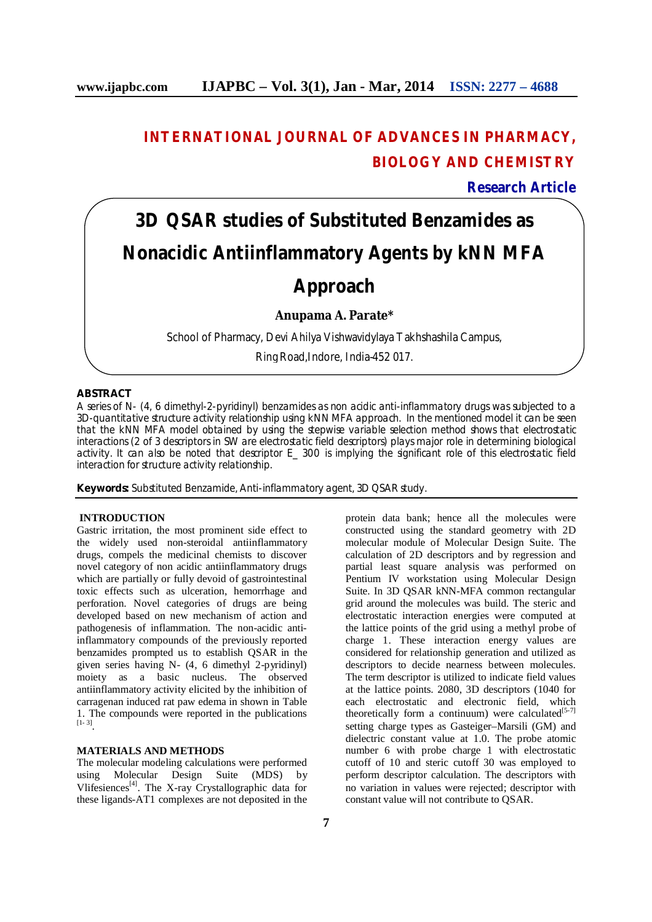## **INTERNATIONAL JOURNAL OF ADVANCES IN PHARMACY, BIOLOGY AND CHEMISTRY**

**Research Article**

# **3D QSAR studies of Substituted Benzamides as Nonacidic Antiinflammatory Agents by kNN MFA**

## **Approach**

**Anupama A. Parate\***

School of Pharmacy, Devi Ahilya Vishwavidylaya Takhshashila Campus,

Ring Road,Indore, India-452 017.

#### **ABSTRACT**

A series of N- (4, 6 dimethyl-2-pyridinyl) benzamides as non acidic anti-inflammatory drugs was subjected to a 3D-quantitative structure activity relationship using kNN MFA approach. In the mentioned model it can be seen that the kNN MFA model obtained by using the stepwise variable selection method shows that electrostatic interactions (2 of 3 descriptors in SW are electrostatic field descriptors) plays major role in determining biological activity. It can also be noted that descriptor E\_ 300 is implying the significant role of this electrostatic field interaction for structure activity relationship.

**Keywords:** Substituted Benzamide, Anti-inflammatory agent, 3D QSAR study.

#### **INTRODUCTION**

Gastric irritation, the most prominent side effect to the widely used non-steroidal antiinflammatory drugs, compels the medicinal chemists to discover novel category of non acidic antiinflammatory drugs which are partially or fully devoid of gastrointestinal toxic effects such as ulceration, hemorrhage and perforation. Novel categories of drugs are being developed based on new mechanism of action and pathogenesis of inflammation. The non-acidic antiinflammatory compounds of the previously reported benzamides prompted us to establish QSAR in the given series having N- (4, 6 dimethyl 2-pyridinyl) moiety as a basic nucleus. The observed antiinflammatory activity elicited by the inhibition of carragenan induced rat paw edema in shown in Table 1. The compounds were reported in the publications [1- 3] .

#### **MATERIALS AND METHODS**

The molecular modeling calculations were performed using Molecular Design Suite (MDS) by Vlifesiences<sup>[4]</sup>. The X-ray Crystallographic data for these ligands-AT1 complexes are not deposited in the

protein data bank; hence all the molecules were constructed using the standard geometry with 2D molecular module of Molecular Design Suite. The calculation of 2D descriptors and by regression and partial least square analysis was performed on Pentium IV workstation using Molecular Design Suite. In 3D QSAR kNN-MFA common rectangular grid around the molecules was build. The steric and electrostatic interaction energies were computed at the lattice points of the grid using a methyl probe of charge 1. These interaction energy values are considered for relationship generation and utilized as descriptors to decide nearness between molecules. The term descriptor is utilized to indicate field values at the lattice points. 2080, 3D descriptors (1040 for each electrostatic and electronic field, which theoretically form a continuum) were calculated<sup>[5-7]</sup> setting charge types as Gasteiger–Marsili (GM) and dielectric constant value at 1.0. The probe atomic number 6 with probe charge 1 with electrostatic cutoff of 10 and steric cutoff 30 was employed to perform descriptor calculation. The descriptors with no variation in values were rejected; descriptor with constant value will not contribute to QSAR.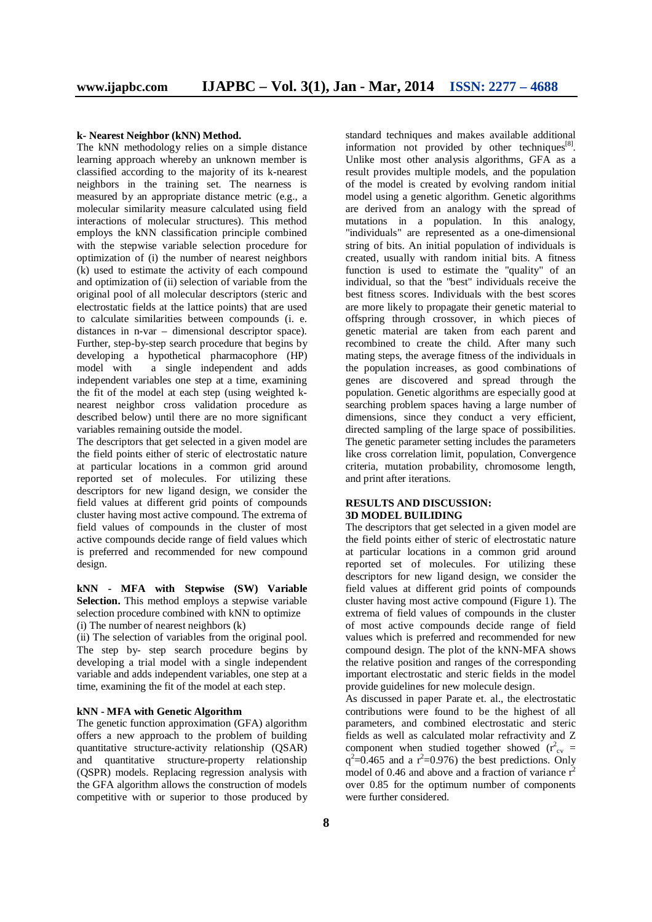#### **k- Nearest Neighbor (kNN) Method.**

The kNN methodology relies on a simple distance learning approach whereby an unknown member is classified according to the majority of its k-nearest neighbors in the training set. The nearness is measured by an appropriate distance metric (e.g., a molecular similarity measure calculated using field interactions of molecular structures). This method employs the kNN classification principle combined with the stepwise variable selection procedure for optimization of (i) the number of nearest neighbors (k) used to estimate the activity of each compound and optimization of (ii) selection of variable from the original pool of all molecular descriptors (steric and electrostatic fields at the lattice points) that are used to calculate similarities between compounds (i. e. distances in n-var – dimensional descriptor space). Further, step-by-step search procedure that begins by developing a hypothetical pharmacophore (HP) model with a single independent and adds independent variables one step at a time, examining the fit of the model at each step (using weighted knearest neighbor cross validation procedure as described below) until there are no more significant variables remaining outside the model.

The descriptors that get selected in a given model are the field points either of steric of electrostatic nature at particular locations in a common grid around reported set of molecules. For utilizing these descriptors for new ligand design, we consider the field values at different grid points of compounds cluster having most active compound. The extrema of field values of compounds in the cluster of most active compounds decide range of field values which is preferred and recommended for new compound design.

**kNN - MFA with Stepwise (SW) Variable Selection.** This method employs a stepwise variable selection procedure combined with kNN to optimize (i) The number of nearest neighbors (k)

(ii) The selection of variables from the original pool. The step by- step search procedure begins by developing a trial model with a single independent variable and adds independent variables, one step at a time, examining the fit of the model at each step.

#### **kNN - MFA with Genetic Algorithm**

The genetic function approximation (GFA) algorithm offers a new approach to the problem of building quantitative structure-activity relationship (QSAR) and quantitative structure-property relationship (QSPR) models. Replacing regression analysis with the GFA algorithm allows the construction of models competitive with or superior to those produced by

standard techniques and makes available additional information not provided by other techniques $[8]$ . Unlike most other analysis algorithms, GFA as a result provides multiple models, and the population of the model is created by evolving random initial model using a genetic algorithm. Genetic algorithms are derived from an analogy with the spread of mutations in a population. In this analogy, "individuals" are represented as a one-dimensional string of bits. An initial population of individuals is created, usually with random initial bits. A fitness function is used to estimate the "quality" of an individual, so that the "best" individuals receive the best fitness scores. Individuals with the best scores are more likely to propagate their genetic material to offspring through crossover, in which pieces of genetic material are taken from each parent and recombined to create the child. After many such mating steps, the average fitness of the individuals in the population increases, as good combinations of genes are discovered and spread through the population. Genetic algorithms are especially good at searching problem spaces having a large number of dimensions, since they conduct a very efficient, directed sampling of the large space of possibilities. The genetic parameter setting includes the parameters like cross correlation limit, population, Convergence criteria, mutation probability, chromosome length, and print after iterations.

#### **RESULTS AND DISCUSSION: 3D MODEL BUILIDING**

The descriptors that get selected in a given model are the field points either of steric of electrostatic nature at particular locations in a common grid around reported set of molecules. For utilizing these descriptors for new ligand design, we consider the field values at different grid points of compounds cluster having most active compound (Figure 1). The extrema of field values of compounds in the cluster of most active compounds decide range of field values which is preferred and recommended for new compound design. The plot of the kNN-MFA shows the relative position and ranges of the corresponding important electrostatic and steric fields in the model provide guidelines for new molecule design.

As discussed in paper Parate et. al., the electrostatic contributions were found to be the highest of all parameters, and combined electrostatic and steric fields as well as calculated molar refractivity and Z component when studied together showed  $(r<sup>2</sup><sub>cv</sub>)$  =  $q^2$ =0.465 and a  $r^2$ =0.976) the best predictions. Only model of 0.46 and above and a fraction of variance  $r^2$ over 0.85 for the optimum number of components were further considered.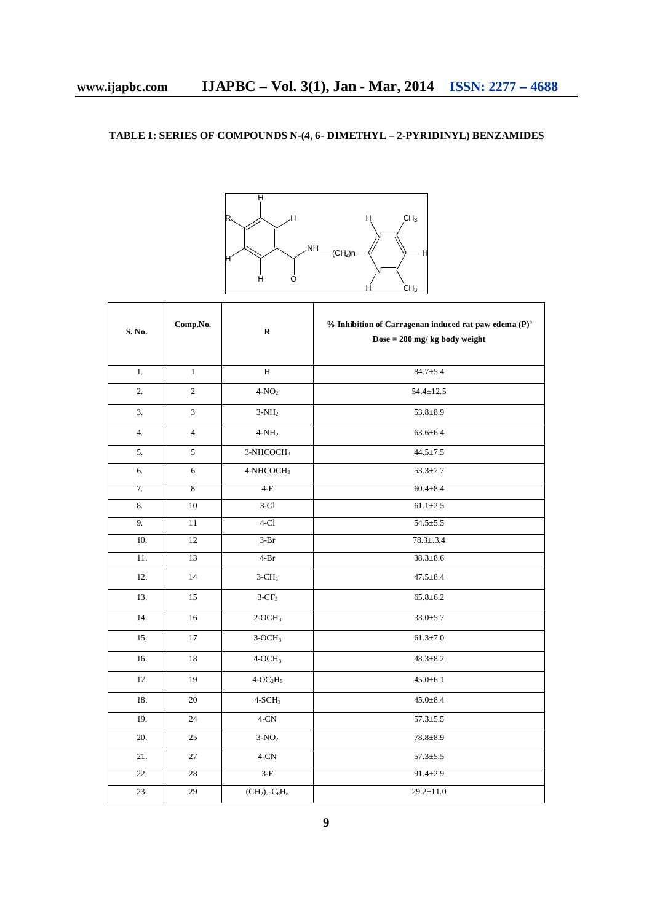### **TABLE 1: SERIES OF COMPOUNDS N-(4, 6- DIMETHYL – 2-PYRIDINYL) BENZAMIDES**



| S. No. | Comp.No.       | $\bf R$               | $%$ Inhibition of Carragenan induced rat paw edema (P) <sup>a</sup><br>Dose = $200$ mg/kg body weight |
|--------|----------------|-----------------------|-------------------------------------------------------------------------------------------------------|
| 1.     | $\mathbf{1}$   | H                     | $84.7 \pm 5.4$                                                                                        |
| 2.     | $\sqrt{2}$     | $4-NO2$               | $54.4 \pm 12.5$                                                                                       |
| 3.     | 3              | $3-NH2$               | $53.8 \pm 8.9$                                                                                        |
| 4.     | $\overline{4}$ | $4-NH2$               | $63.6 \pm 6.4$                                                                                        |
| 5.     | 5              | 3-NHCOCH <sub>3</sub> | $44.5 \pm 7.5$                                                                                        |
| 6.     | 6              | 4-NHCOCH <sub>3</sub> | $53.3 \pm 7.7$                                                                                        |
| 7.     | 8              | $4-F$                 | $60.4 \pm 8.4$                                                                                        |
| 8.     | 10             | $3-Cl$                | $61.1 \pm 2.5$                                                                                        |
| 9.     | 11             | $4-C1$                | $54.5 \pm 5.5$                                                                                        |
| 10.    | 12             | $3-Br$                | $78.3 \pm .3.4$                                                                                       |
| 11.    | 13             | $4-Br$                | $38.3 \pm 8.6$                                                                                        |
| 12.    | 14             | $3-CH3$               | $47.5 \pm 8.4$                                                                                        |
| 13.    | 15             | $3-CF_3$              | $65.8 \pm 6.2$                                                                                        |
| 14.    | 16             | $2-OCH3$              | $33.0 + 5.7$                                                                                          |
| 15.    | 17             | $3-OCH3$              | $61.3 \pm 7.0$                                                                                        |
| 16.    | 18             | $4-OCH3$              | $48.3 \pm 8.2$                                                                                        |
| 17.    | 19             | $4-OC2H5$             | $45.0 \pm 6.1$                                                                                        |
| 18.    | 20             | $4-SCH3$              | $45.0 \pm 8.4$                                                                                        |
| 19.    | 24             | $4-CN$                | $57.3 \pm 5.5$                                                                                        |
| 20.    | 25             | $3-NO2$               | $78.8 + 8.9$                                                                                          |
| 21.    | 27             | $4-CN$                | $57.3 \pm 5.5$                                                                                        |
| 22.    | 28             | $3-F$                 | $91.4 \pm 2.9$                                                                                        |
| 23.    | 29             | $(CH2)2 - C6H6$       | $29.2 \pm 11.0$                                                                                       |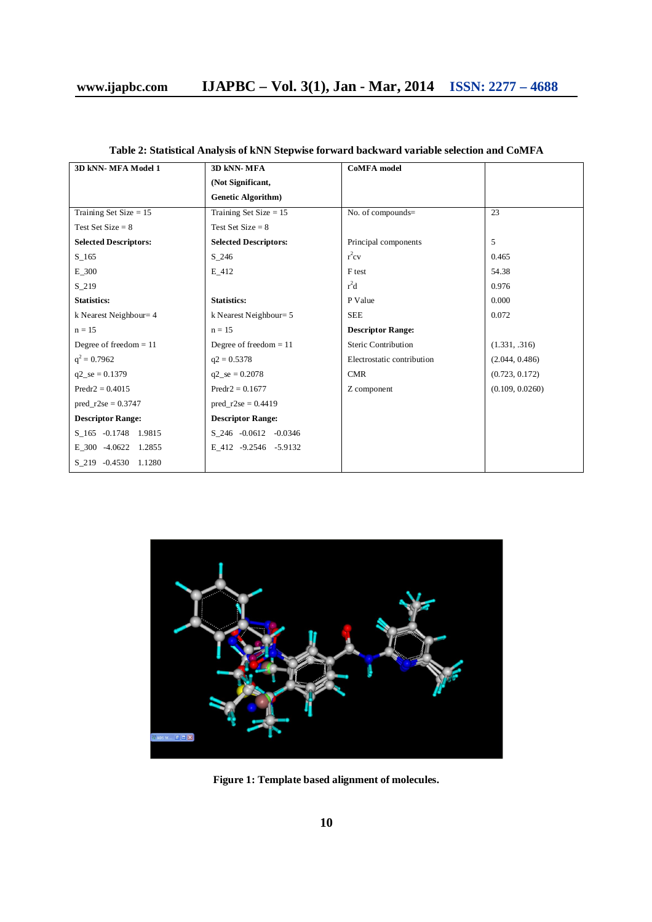| 3D kNN-MFA Model 1           | 3D kNN-MFA                   | <b>CoMFA</b> model         |                 |
|------------------------------|------------------------------|----------------------------|-----------------|
|                              | (Not Significant,            |                            |                 |
|                              | <b>Genetic Algorithm</b> )   |                            |                 |
| Training Set Size $= 15$     | Training Set Size $= 15$     | No. of compounds=          | 23              |
| Test Set Size = $8$          | Test Set Size $= 8$          |                            |                 |
| <b>Selected Descriptors:</b> | <b>Selected Descriptors:</b> | Principal components       | 5               |
| $S_{165}$                    | S 246                        | $r^2$ cv                   | 0.465           |
| $E_300$                      | E 412                        | F <sub>test</sub>          | 54.38           |
| $S_219$                      |                              | $r^2d$                     | 0.976           |
| <b>Statistics:</b>           | <b>Statistics:</b>           | P Value                    | 0.000           |
| k Nearest Neighbour= 4       | k Nearest Neighbour = 5      | <b>SEE</b>                 | 0.072           |
| $n = 15$                     | $n = 15$                     | <b>Descriptor Range:</b>   |                 |
| Degree of freedom $= 11$     | Degree of freedom $= 11$     | Steric Contribution        | (1.331, .316)   |
| $q^2 = 0.7962$               | $q2 = 0.5378$                | Electrostatic contribution | (2.044, 0.486)  |
| $q2$ <sub>-se</sub> = 0.1379 | $q2 \text{ se} = 0.2078$     | CMR                        | (0.723, 0.172)  |
| $Predr2 = 0.4015$            | $Predr2 = 0.1677$            | Z component                | (0.109, 0.0260) |
| $pred_r2se = 0.3747$         | $pred_r2se = 0.4419$         |                            |                 |
| <b>Descriptor Range:</b>     | <b>Descriptor Range:</b>     |                            |                 |
| S 165 -0.1748 1.9815         | S 246 -0.0612 -0.0346        |                            |                 |
| E 300 -4.0622 1.2855         | E 412 -9.2546 -5.9132        |                            |                 |
| S 219 -0.4530 1.1280         |                              |                            |                 |



**Figure 1: Template based alignment of molecules.**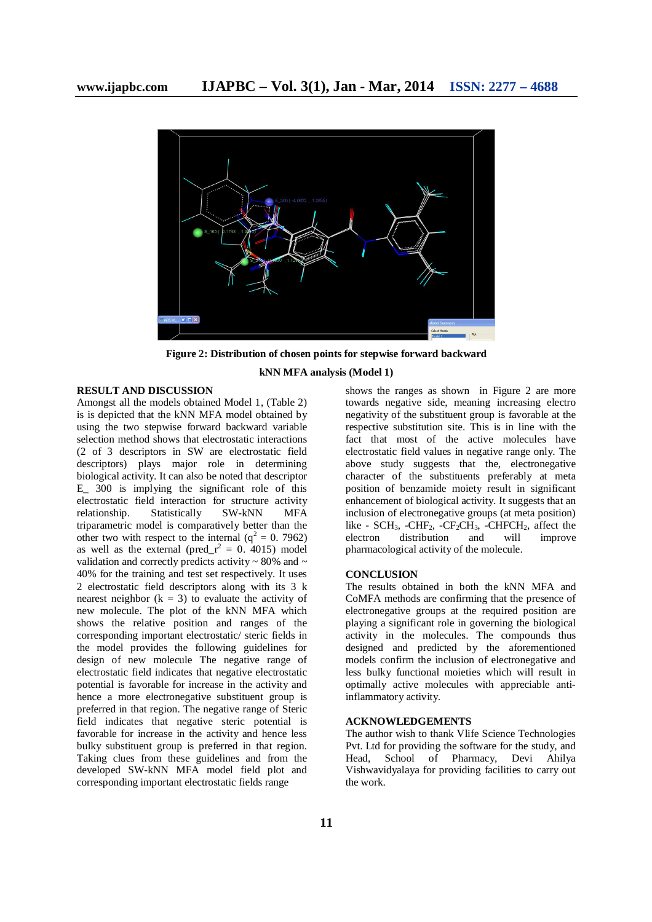

**Figure 2: Distribution of chosen points for stepwise forward backward**

#### **RESULT AND DISCUSSION**

Amongst all the models obtained Model 1, (Table 2) is is depicted that the kNN MFA model obtained by using the two stepwise forward backward variable selection method shows that electrostatic interactions (2 of 3 descriptors in SW are electrostatic field descriptors) plays major role in determining biological activity. It can also be noted that descriptor E 300 is implying the significant role of this electrostatic field interaction for structure activity relationship. Statistically SW-kNN MFA triparametric model is comparatively better than the other two with respect to the internal  $(q^2 = 0.7962)$ as well as the external (pred\_ $r^2 = 0$ . 4015) model validation and correctly predicts activity  $\sim$  80% and  $\sim$ 40% for the training and test set respectively. It uses 2 electrostatic field descriptors along with its 3 k nearest neighbor  $(k = 3)$  to evaluate the activity of new molecule. The plot of the kNN MFA which shows the relative position and ranges of the corresponding important electrostatic/ steric fields in the model provides the following guidelines for design of new molecule The negative range of electrostatic field indicates that negative electrostatic potential is favorable for increase in the activity and hence a more electronegative substituent group is preferred in that region. The negative range of Steric field indicates that negative steric potential is favorable for increase in the activity and hence less bulky substituent group is preferred in that region. Taking clues from these guidelines and from the developed SW-kNN MFA model field plot and corresponding important electrostatic fields range

#### **kNN MFA analysis (Model 1)**

shows the ranges as shown in Figure 2 are more towards negative side, meaning increasing electro negativity of the substituent group is favorable at the respective substitution site. This is in line with the fact that most of the active molecules have electrostatic field values in negative range only. The above study suggests that the, electronegative character of the substituents preferably at meta position of benzamide moiety result in significant enhancement of biological activity. It suggests that an inclusion of electronegative groups (at meta position) like - SCH<sub>3</sub>, -CHF<sub>2</sub>, -CF<sub>2</sub>CH<sub>3</sub>, -CHFCH<sub>2</sub>, affect the electron distribution and will improve distribution pharmacological activity of the molecule.

#### **CONCLUSION**

The results obtained in both the kNN MFA and CoMFA methods are confirming that the presence of electronegative groups at the required position are playing a significant role in governing the biological activity in the molecules. The compounds thus designed and predicted by the aforementioned models confirm the inclusion of electronegative and less bulky functional moieties which will result in optimally active molecules with appreciable antiinflammatory activity.

#### **ACKNOWLEDGEMENTS**

The author wish to thank Vlife Science Technologies Pvt. Ltd for providing the software for the study, and Head, School of Pharmacy, Devi Ahilya Vishwavidyalaya for providing facilities to carry out the work.